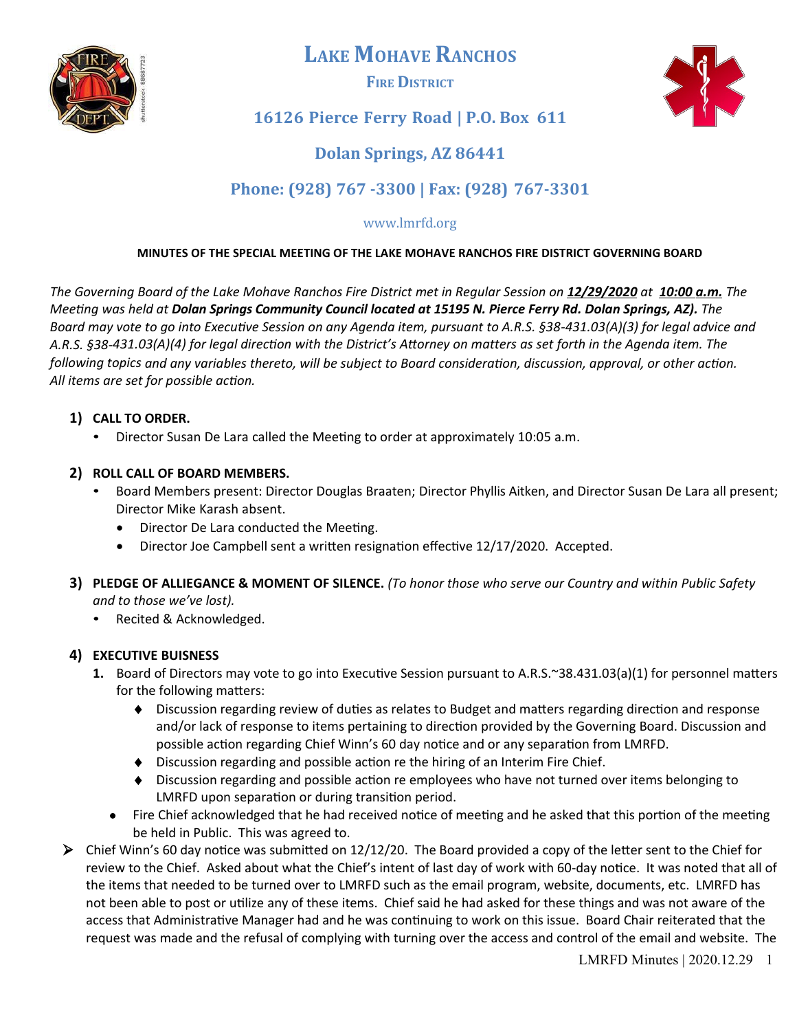

**LAKE MOHAVE RANCHOS**

**FIRE DISTRICT**



## **16126 Pierce Ferry Road | P.O. Box 611**

# **Dolan Springs, AZ 86441**

# **Phone: (928) 767 -3300 | Fax: (928) 767-3301**

## www.lmrfd.org

### **MINUTES OF THE SPECIAL MEETING OF THE LAKE MOHAVE RANCHOS FIRE DISTRICT GOVERNING BOARD**

*The Governing Board of the Lake Mohave Ranchos Fire District met in Regular Session on 12/29/ 20 2 0 at 1 0 : 0 0 a . m . The Meeting was held at Dolan Springs Community Council located at 15195 N. Pierce Ferry Rd. Dolan Springs, AZ). The Board may vote to go into Executive Session on any Agenda item, pursuant to A.R.S. §38-431.03(A)(3) for legal advice and A.R.S. §38-431.03(A)(4) for legal direction with the District's Atorney on matters as set forth in the Agenda item. The following topics and any variables thereto, will be subject to Board consideration, discussion, approval, or other action. All items are set for possible action.*

### **1) CALL TO ORDER.**

• Director Susan De Lara called the Meeting to order at approximately 10:05 a.m.

### **2) ROLL CALL OF BOARD MEMBERS.**

- Board Members present: Director Douglas Braaten; Director Phyllis Aitken, and Director Susan De Lara all present; Director Mike Karash absent.
	- Director De Lara conducted the Meeting.
	- Director Joe Campbell sent a written resignation effective 12/17/2020. Accepted.
- **3) PLEDGE OF ALLIEGANCE & MOMENT OF SILENCE.** *(To honor those who serve our Country and within Public Safety and to those we've lost).*
	- Recited & Acknowledged.

## **4) EXECUTIVE BUISNESS**

- **1.** Board of Directors may vote to go into Executive Session pursuant to A.R.S.~38.431.03(a)(1) for personnel matters for the following matters:
	- $\bullet$  Discussion regarding review of duties as relates to Budget and matters regarding direction and response and/or lack of response to items pertaining to direction provided by the Governing Board. Discussion and possible action regarding Chief Winn's 60 day notice and or any separation from LMRFD.
	- $\blacklozenge$  Discussion regarding and possible action re the hiring of an Interim Fire Chief.
	- $\bullet$  Discussion regarding and possible action re employees who have not turned over items belonging to LMRFD upon separation or during transition period.
	- Fire Chief acknowledged that he had received notice of meeting and he asked that this portion of the meeting be held in Public. This was agreed to.
- $\triangleright$  Chief Winn's 60 day notice was submitted on 12/12/20. The Board provided a copy of the letter sent to the Chief for review to the Chief. Asked about what the Chief's intent of last day of work with 60-day notice. It was noted that all of the items that needed to be turned over to LMRFD such as the email program, website, documents, etc. LMRFD has not been able to post or utilize any of these items. Chief said he had asked for these things and was not aware of the access that Administrative Manager had and he was continuing to work on this issue. Board Chair reiterated that the request was made and the refusal of complying with turning over the access and control of the email and website. The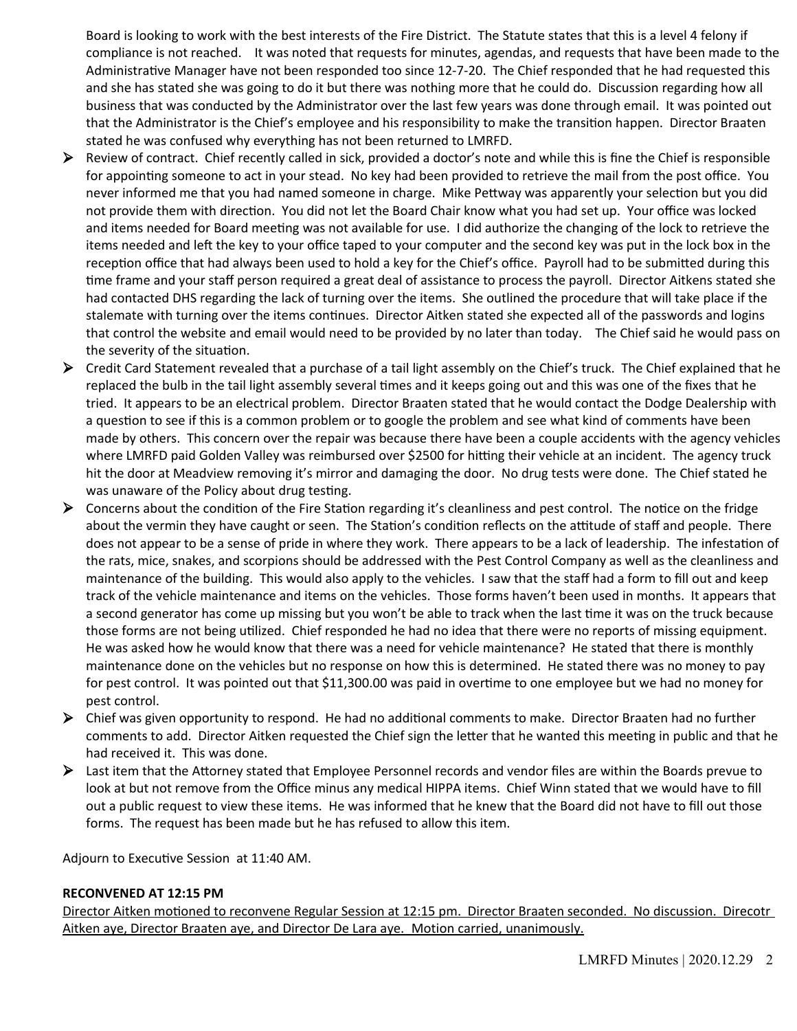Board is looking to work with the best interests of the Fire District. The Statute states that this is a level 4 felony if compliance is not reached. It was noted that requests for minutes, agendas, and requests that have been made to the Administrative Manager have not been responded too since 12-7-20. The Chief responded that he had requested this and she has stated she was going to do it but there was nothing more that he could do. Discussion regarding how all business that was conducted by the Administrator over the last few years was done through email. It was pointed out that the Administrator is the Chief's employee and his responsibility to make the transiton happen. Director Braaten stated he was confused why everything has not been returned to LMRFD.

- $\triangleright$  Review of contract. Chief recently called in sick, provided a doctor's note and while this is fine the Chief is responsible for appointing someone to act in your stead. No key had been provided to retrieve the mail from the post office. You never informed me that you had named someone in charge. Mike Pettway was apparently your selection but you did not provide them with direction. You did not let the Board Chair know what you had set up. Your office was locked and items needed for Board meeting was not available for use. I did authorize the changing of the lock to retrieve the items needed and left the key to your office taped to your computer and the second key was put in the lock box in the reception office that had always been used to hold a key for the Chief's office. Payroll had to be submitted during this time frame and your staff person required a great deal of assistance to process the payroll. Director Aitkens stated she had contacted DHS regarding the lack of turning over the items. She outlined the procedure that will take place if the stalemate with turning over the items continues. Director Aitken stated she expected all of the passwords and logins that control the website and email would need to be provided by no later than today. The Chief said he would pass on the severity of the situation.
- $\triangleright$  Credit Card Statement revealed that a purchase of a tail light assembly on the Chief's truck. The Chief explained that he replaced the bulb in the tail light assembly several times and it keeps going out and this was one of the fixes that he tried. It appears to be an electrical problem. Director Braaten stated that he would contact the Dodge Dealership with a question to see if this is a common problem or to google the problem and see what kind of comments have been made by others. This concern over the repair was because there have been a couple accidents with the agency vehicles where LMRFD paid Golden Valley was reimbursed over \$2500 for hitting their vehicle at an incident. The agency truck hit the door at Meadview removing it's mirror and damaging the door. No drug tests were done. The Chief stated he was unaware of the Policy about drug testing.
- $\triangleright$  Concerns about the condition of the Fire Station regarding it's cleanliness and pest control. The notice on the fridge about the vermin they have caught or seen. The Station's condition reflects on the attitude of staff and people. There does not appear to be a sense of pride in where they work. There appears to be a lack of leadership. The infestation of the rats, mice, snakes, and scorpions should be addressed with the Pest Control Company as well as the cleanliness and maintenance of the building. This would also apply to the vehicles. I saw that the staff had a form to fill out and keep track of the vehicle maintenance and items on the vehicles. Those forms haven't been used in months. It appears that a second generator has come up missing but you won't be able to track when the last tme it was on the truck because those forms are not being utliied. Chief responded he had no idea that there were no reports of missing equipment. He was asked how he would know that there was a need for vehicle maintenance? He stated that there is monthly maintenance done on the vehicles but no response on how this is determined. He stated there was no money to pay for pest control. It was pointed out that \$11,300.00 was paid in overtime to one employee but we had no money for pest control.
- $\triangleright$  Chief was given opportunity to respond. He had no additional comments to make. Director Braaten had no further comments to add. Director Aitken requested the Chief sign the letter that he wanted this meeting in public and that he had received it. This was done.
- $\triangleright$  Last item that the Attorney stated that Employee Personnel records and vendor files are within the Boards prevue to look at but not remove from the Office minus any medical HIPPA items. Chief Winn stated that we would have to fill out a public request to view these items. He was informed that he knew that the Board did not have to fill out those forms. The request has been made but he has refused to allow this item.

Adjourn to Executive Session at 11:40 AM.

#### **RECONVENED AT 12:15 PM**

Director Aitken motioned to reconvene Regular Session at 12:15 pm. Director Braaten seconded. No discussion. Direcotr Aitken aye, Director Braaten aye, and Director De Lara aye. Motion carried, unanimously.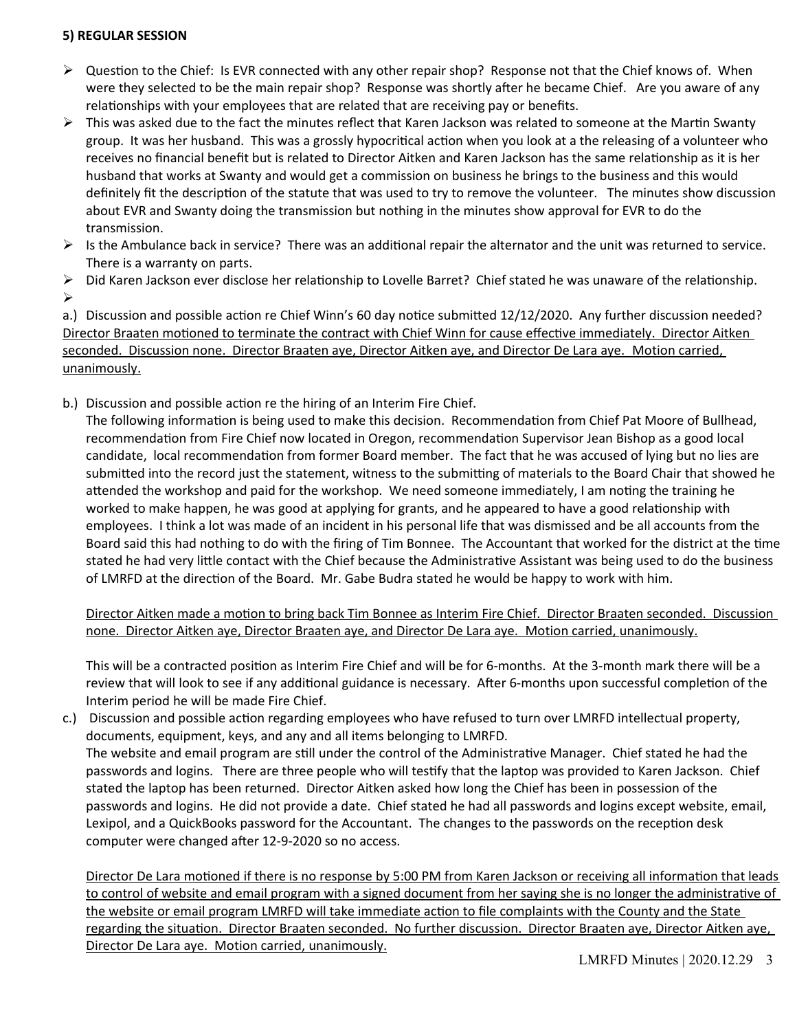#### **5) REGULAR SESSION**

- $\triangleright$  Question to the Chief: Is EVR connected with any other repair shop? Response not that the Chief knows of. When were they selected to be the main repair shop? Response was shortly after he became Chief. Are you aware of any relationships with your employees that are related that are receiving pay or benefits.
- $\triangleright$  This was asked due to the fact the minutes reflect that Karen Jackson was related to someone at the Martin Swanty group. It was her husband. This was a grossly hypocritical action when you look at a the releasing of a volunteer who receives no financial benefit but is related to Director Aitken and Karen Jackson has the same relationship as it is her husband that works at Swanty and would get a commission on business he brings to the business and this would definitely fit the description of the statute that was used to try to remove the volunteer. The minutes show discussion about EVR and Swanty doing the transmission but nothing in the minutes show approval for EVR to do the transmission.
- $\triangleright$  Is the Ambulance back in service? There was an additional repair the alternator and the unit was returned to service. There is a warranty on parts.
- $\triangleright$  Did Karen Jackson ever disclose her relationship to Lovelle Barret? Chief stated he was unaware of the relationship.  $\blacktriangleright$

a.) Discussion and possible action re Chief Winn's 60 day notice submitted 12/12/2020. Any further discussion needed? Director Braaten motioned to terminate the contract with Chief Winn for cause effective immediately. Director Aitken seconded. Discussion none. Director Braaten aye, Director Aitken aye, and Director De Lara aye. Motion carried, unanimously.

b.) Discussion and possible action re the hiring of an Interim Fire Chief.

The following information is being used to make this decision. Recommendation from Chief Pat Moore of Bullhead, recommendation from Fire Chief now located in Oregon, recommendation Supervisor Jean Bishop as a good local candidate, local recommendation from former Board member. The fact that he was accused of lying but no lies are submitted into the record just the statement, witness to the submitting of materials to the Board Chair that showed he attended the workshop and paid for the workshop. We need someone immediately, I am noting the training he worked to make happen, he was good at applying for grants, and he appeared to have a good relationship with employees. I think a lot was made of an incident in his personal life that was dismissed and be all accounts from the Board said this had nothing to do with the fring of Tim Bonnee. The Accountant that worked for the district at the tme stated he had very little contact with the Chief because the Administrative Assistant was being used to do the business of LMRFD at the direction of the Board. Mr. Gabe Budra stated he would be happy to work with him.

Director Aitken made a motion to bring back Tim Bonnee as Interim Fire Chief. Director Braaten seconded. Discussion none. Director Aitken aye, Director Braaten aye, and Director De Lara aye. Motion carried, unanimously.

This will be a contracted positon as Interim Fire Chief and will be for 6-months. At the 3-month mark there will be a review that will look to see if any additional guidance is necessary. After 6-months upon successful completion of the Interim period he will be made Fire Chief.

c.) Discussion and possible action regarding employees who have refused to turn over LMRFD intellectual property, documents, equipment, keys, and any and all items belonging to LMRFD. The website and email program are still under the control of the Administrative Manager. Chief stated he had the passwords and logins. There are three people who will testify that the laptop was provided to Karen Jackson. Chief stated the laptop has been returned. Director Aitken asked how long the Chief has been in possession of the passwords and logins. He did not provide a date. Chief stated he had all passwords and logins except website, email, Lexipol, and a QuickBooks password for the Accountant. The changes to the passwords on the recepton desk computer were changed after 12-9-2020 so no access.

Director De Lara motioned if there is no response by 5:00 PM from Karen Jackson or receiving all information that leads to control of website and email program with a signed document from her saying she is no longer the administrative of the website or email program LMRFD will take immediate action to file complaints with the County and the State regarding the situaton. Director Braaten seconded. No further discussion. Director Braaten aye, Director Aitken aye, Director De Lara aye. Motion carried, unanimously.